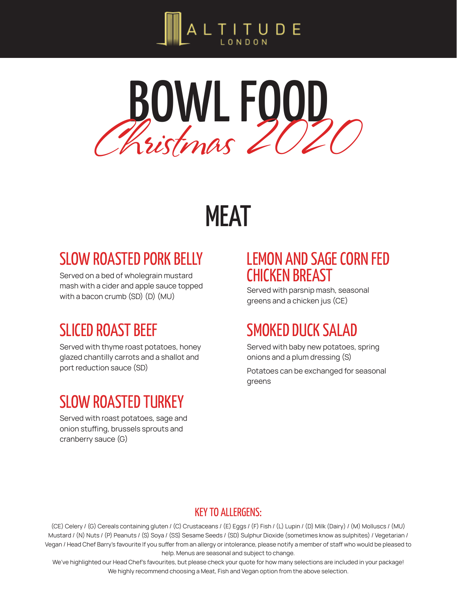



# MEAT

# SLOW ROASTED PORK BELLY

Served on a bed of wholegrain mustard mash with a cider and apple sauce topped with a bacon crumb (SD) (D) (MU)

# SLICED ROAST BEEF

Served with thyme roast potatoes, honey glazed chantilly carrots and a shallot and port reduction sauce (SD)

# SLOW ROASTED TURKEY

Served with roast potatoes, sage and onion stuffing, brussels sprouts and cranberry sauce (G)

## LEMON AND SAGE CORN FED CHICKEN BREAST

Served with parsnip mash, seasonal greens and a chicken jus (CE)

# SMOKED DUCK SALAD

Served with baby new potatoes, spring onions and a plum dressing (S)

Potatoes can be exchanged for seasonal greens

#### KEY TO ALLERGENS:

(CE) Celery / (G) Cereals containing gluten / (C) Crustaceans / (E) Eggs / (F) Fish / (L) Lupin / (D) Milk (Dairy) / (M) Molluscs / (MU) Mustard / (N) Nuts / (P) Peanuts / (S) Soya / (SS) Sesame Seeds / (SD) Sulphur Dioxide (sometimes know as sulphites) / Vegetarian / Vegan / Head Chef Barry's favourite If you suffer from an allergy or intolerance, please notify a member of staff who would be pleased to help. Menus are seasonal and subject to change.

We've highlighted our Head Chef's favourites, but please check your quote for how many selections are included in your package! We highly recommend choosing a Meat, Fish and Vegan option from the above selection.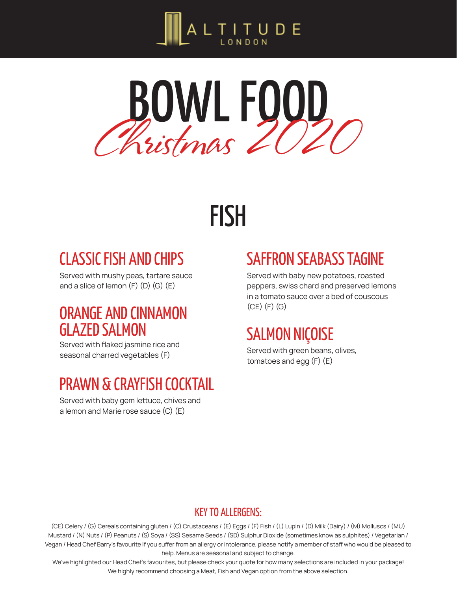



# FISH

# CLASSIC FISH AND CHIPS

Served with mushy peas, tartare sauce and a slice of lemon  $(F)$   $(D)$   $(G)$   $(E)$ 

## ORANGE AND CINNAMON GLAZED SALMON

Served with flaked jasmine rice and seasonal charred vegetables (F)

# PRAWN & CRAYFISH COCKTAIL

Served with baby gem lettuce, chives and a lemon and Marie rose sauce (C) (E)

# SAFFRON SEABASS TAGINE

Served with baby new potatoes, roasted peppers, swiss chard and preserved lemons in a tomato sauce over a bed of couscous (CE) (F) (G)

# SALMON NIÇOISE

Served with green beans, olives, tomatoes and egg (F) (E)

#### KEY TO ALLERGENS:

(CE) Celery / (G) Cereals containing gluten / (C) Crustaceans / (E) Eggs / (F) Fish / (L) Lupin / (D) Milk (Dairy) / (M) Molluscs / (MU) Mustard / (N) Nuts / (P) Peanuts / (S) Soya / (SS) Sesame Seeds / (SD) Sulphur Dioxide (sometimes know as sulphites) / Vegetarian / Vegan / Head Chef Barry's favourite If you suffer from an allergy or intolerance, please notify a member of staff who would be pleased to help. Menus are seasonal and subject to change.

We've highlighted our Head Chef's favourites, but please check your quote for how many selections are included in your package! We highly recommend choosing a Meat, Fish and Vegan option from the above selection.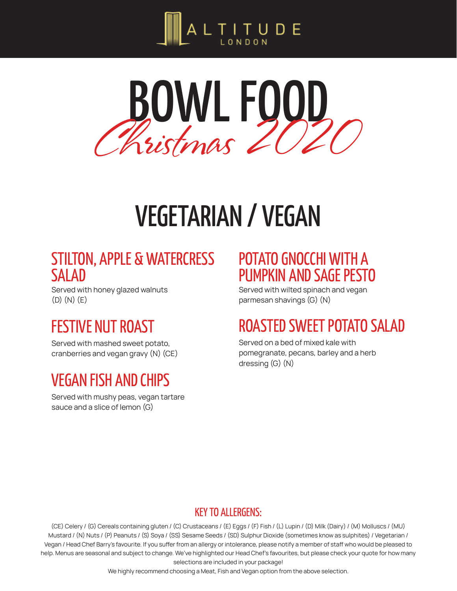



# VEGETARIAN / VEGAN

### STILTON, APPLE & WATERCRESS SALAD

Served with honey glazed walnuts (D) (N) (E)

# FESTIVE NUT ROAST

Served with mashed sweet potato, cranberries and vegan gravy (N) (CE)

# VEGAN FISH AND CHIPS

Served with mushy peas, vegan tartare sauce and a slice of lemon (G)

### POTATO GNOCCHI WITH A PUMPKIN AND SAGE PESTO

Served with wilted spinach and vegan parmesan shavings (G) (N)

# ROASTED SWEET POTATO SALAD

Served on a bed of mixed kale with pomegranate, pecans, barley and a herb dressing (G) (N)

#### KEY TO ALLERGENS:

(CE) Celery / (G) Cereals containing gluten / (C) Crustaceans / (E) Eggs / (F) Fish / (L) Lupin / (D) Milk (Dairy) / (M) Molluscs / (MU) Mustard / (N) Nuts / (P) Peanuts / (S) Soya / (SS) Sesame Seeds / (SD) Sulphur Dioxide (sometimes know as sulphites) / Vegetarian / Vegan / Head Chef Barry's favourite. If you suffer from an allergy or intolerance, please notify a member of staff who would be pleased to help. Menus are seasonal and subject to change. We've highlighted our Head Chef's favourites, but please check your quote for how many selections are included in your package!

We highly recommend choosing a Meat, Fish and Vegan option from the above selection.